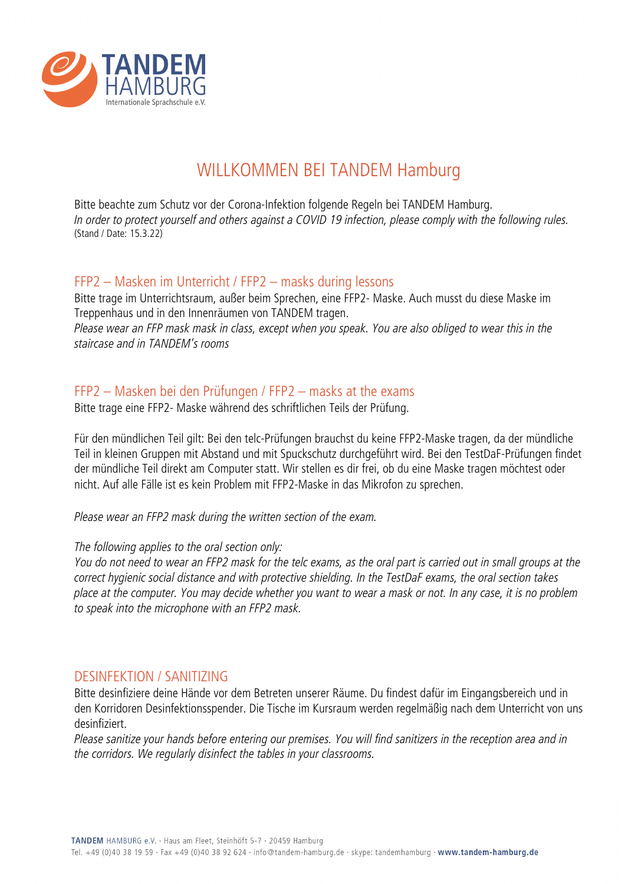

# WILLKOMMEN BEI TANDEM Hamburg

Bitte beachte zum Schutz vor der Corona-Infektion folgende Regeln bei TANDEM Hamburg. *In order to protect yourself and others against a COVID 19 infection, please comply with the following rules.* (Stand / Date: 15.3.22)

## FFP2 – Masken im Unterricht / FFP2 – masks during lessons

Bitte trage im Unterrichtsraum, außer beim Sprechen, eine FFP2- Maske. Auch musst du diese Maske im Treppenhaus und in den Innenräumen von TANDEM tragen.

*Please wear an FFP mask mask in class, except when you speak. You are also obliged to wear this in the staircase and in TANDEM's rooms*

## FFP2 – Masken bei den Prüfungen / FFP2 – masks at the exams

Bitte trage eine FFP2- Maske während des schriftlichen Teils der Prüfung.

Für den mündlichen Teil gilt: Bei den telc-Prüfungen brauchst du keine FFP2-Maske tragen, da der mündliche Teil in kleinen Gruppen mit Abstand und mit Spuckschutz durchgeführt wird. Bei den TestDaF-Prüfungen findet der mündliche Teil direkt am Computer statt. Wir stellen es dir frei, ob du eine Maske tragen möchtest oder nicht. Auf alle Fälle ist es kein Problem mit FFP2-Maske in das Mikrofon zu sprechen.

*Please wear an FFP2 mask during the written section of the exam.*

#### *The following applies to the oral section only:*

*You do not need to wear an FFP2 mask for the telc exams, as the oral part is carried out in small groups at the correct hygienic social distance and with protective shielding. In the TestDaF exams, the oral section takes place at the computer. You may decide whether you want to wear a mask or not. In any case, it is no problem to speak into the microphone with an FFP2 mask.*

### DESINFEKTION / SANITIZING

Bitte desinfiziere deine Hände vor dem Betreten unserer Räume. Du findest dafür im Eingangsbereich und in den Korridoren Desinfektionsspender. Die Tische im Kursraum werden regelmäßig nach dem Unterricht von uns desinfiziert.

*Please sanitize your hands before entering our premises. You will find sanitizers in the reception area and in the corridors. We regularly disinfect the tables in your classrooms.*